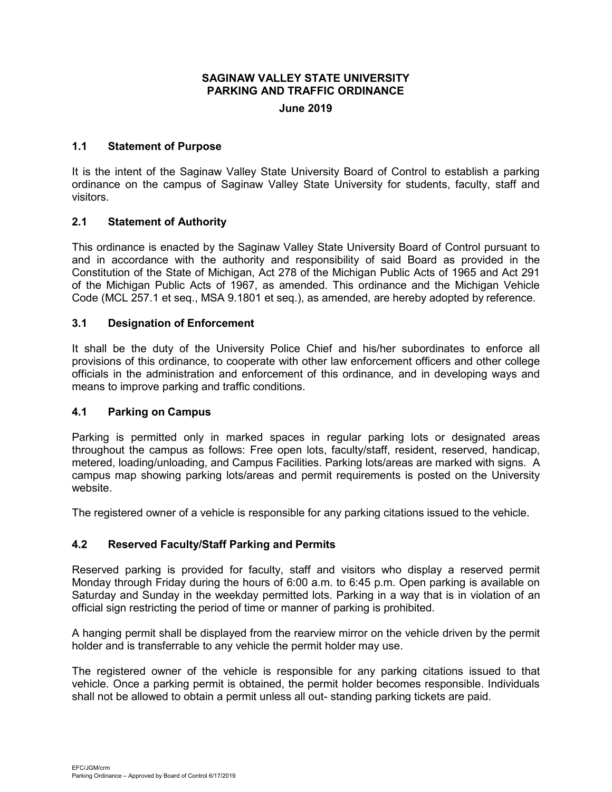# **SAGINAW VALLEY STATE UNIVERSITY PARKING AND TRAFFIC ORDINANCE**

#### **June 2019**

## **1.1 Statement of Purpose**

It is the intent of the Saginaw Valley State University Board of Control to establish a parking ordinance on the campus of Saginaw Valley State University for students, faculty, staff and visitors.

## **2.1 Statement of Authority**

This ordinance is enacted by the Saginaw Valley State University Board of Control pursuant to and in accordance with the authority and responsibility of said Board as provided in the Constitution of the State of Michigan, Act 278 of the Michigan Public Acts of 1965 and Act 291 of the Michigan Public Acts of 1967, as amended. This ordinance and the Michigan Vehicle Code (MCL 257.1 et seq., MSA 9.1801 et seq.), as amended, are hereby adopted by reference.

#### **3.1 Designation of Enforcement**

It shall be the duty of the University Police Chief and his/her subordinates to enforce all provisions of this ordinance, to cooperate with other law enforcement officers and other college officials in the administration and enforcement of this ordinance, and in developing ways and means to improve parking and traffic conditions.

#### **4.1 Parking on Campus**

Parking is permitted only in marked spaces in regular parking lots or designated areas throughout the campus as follows: Free open lots, faculty/staff, resident, reserved, handicap, metered, loading/unloading, and Campus Facilities. Parking lots/areas are marked with signs. A campus map showing parking lots/areas and permit requirements is posted on the University website.

The registered owner of a vehicle is responsible for any parking citations issued to the vehicle.

# **4.2 Reserved Faculty/Staff Parking and Permits**

Reserved parking is provided for faculty, staff and visitors who display a reserved permit Monday through Friday during the hours of 6:00 a.m. to 6:45 p.m. Open parking is available on Saturday and Sunday in the weekday permitted lots. Parking in a way that is in violation of an official sign restricting the period of time or manner of parking is prohibited.

A hanging permit shall be displayed from the rearview mirror on the vehicle driven by the permit holder and is transferrable to any vehicle the permit holder may use.

The registered owner of the vehicle is responsible for any parking citations issued to that vehicle. Once a parking permit is obtained, the permit holder becomes responsible. Individuals shall not be allowed to obtain a permit unless all out- standing parking tickets are paid.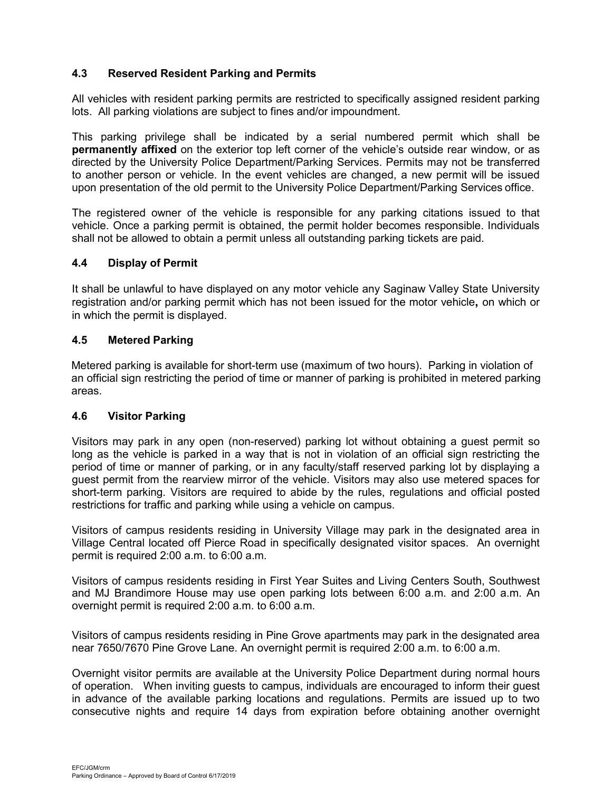# **4.3 Reserved Resident Parking and Permits**

All vehicles with resident parking permits are restricted to specifically assigned resident parking lots. All parking violations are subject to fines and/or impoundment.

This parking privilege shall be indicated by a serial numbered permit which shall be **permanently affixed** on the exterior top left corner of the vehicle's outside rear window, or as directed by the University Police Department/Parking Services. Permits may not be transferred to another person or vehicle. In the event vehicles are changed, a new permit will be issued upon presentation of the old permit to the University Police Department/Parking Services office.

The registered owner of the vehicle is responsible for any parking citations issued to that vehicle. Once a parking permit is obtained, the permit holder becomes responsible. Individuals shall not be allowed to obtain a permit unless all outstanding parking tickets are paid.

#### **4.4 Display of Permit**

It shall be unlawful to have displayed on any motor vehicle any Saginaw Valley State University registration and/or parking permit which has not been issued for the motor vehicle**,** on which or in which the permit is displayed.

#### **4.5 Metered Parking**

Metered parking is available for short-term use (maximum of two hours). Parking in violation of an official sign restricting the period of time or manner of parking is prohibited in metered parking areas.

# **4.6 Visitor Parking**

Visitors may park in any open (non-reserved) parking lot without obtaining a guest permit so long as the vehicle is parked in a way that is not in violation of an official sign restricting the period of time or manner of parking, or in any faculty/staff reserved parking lot by displaying a guest permit from the rearview mirror of the vehicle. Visitors may also use metered spaces for short-term parking. Visitors are required to abide by the rules, regulations and official posted restrictions for traffic and parking while using a vehicle on campus.

Visitors of campus residents residing in University Village may park in the designated area in Village Central located off Pierce Road in specifically designated visitor spaces. An overnight permit is required 2:00 a.m. to 6:00 a.m.

Visitors of campus residents residing in First Year Suites and Living Centers South, Southwest and MJ Brandimore House may use open parking lots between 6:00 a.m. and 2:00 a.m. An overnight permit is required 2:00 a.m. to 6:00 a.m.

Visitors of campus residents residing in Pine Grove apartments may park in the designated area near 7650/7670 Pine Grove Lane. An overnight permit is required 2:00 a.m. to 6:00 a.m.

Overnight visitor permits are available at the University Police Department during normal hours of operation. When inviting guests to campus, individuals are encouraged to inform their guest in advance of the available parking locations and regulations. Permits are issued up to two consecutive nights and require 14 days from expiration before obtaining another overnight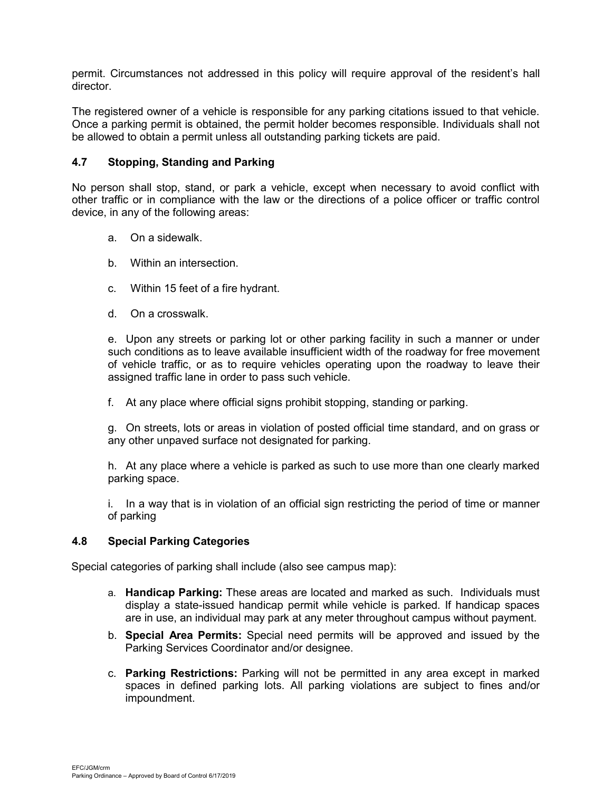permit. Circumstances not addressed in this policy will require approval of the resident's hall director.

The registered owner of a vehicle is responsible for any parking citations issued to that vehicle. Once a parking permit is obtained, the permit holder becomes responsible. Individuals shall not be allowed to obtain a permit unless all outstanding parking tickets are paid.

# **4.7 Stopping, Standing and Parking**

No person shall stop, stand, or park a vehicle, except when necessary to avoid conflict with other traffic or in compliance with the law or the directions of a police officer or traffic control device, in any of the following areas:

- a. On a sidewalk.
- b. Within an intersection.
- c. Within 15 feet of a fire hydrant.
- d. On a crosswalk.

e. Upon any streets or parking lot or other parking facility in such a manner or under such conditions as to leave available insufficient width of the roadway for free movement of vehicle traffic, or as to require vehicles operating upon the roadway to leave their assigned traffic lane in order to pass such vehicle.

f. At any place where official signs prohibit stopping, standing or parking.

g. On streets, lots or areas in violation of posted official time standard, and on grass or any other unpaved surface not designated for parking.

h. At any place where a vehicle is parked as such to use more than one clearly marked parking space.

i. In a way that is in violation of an official sign restricting the period of time or manner of parking

# **4.8 Special Parking Categories**

Special categories of parking shall include (also see campus map):

- a. **Handicap Parking:** These areas are located and marked as such. Individuals must display a state-issued handicap permit while vehicle is parked. If handicap spaces are in use, an individual may park at any meter throughout campus without payment.
- b. **Special Area Permits:** Special need permits will be approved and issued by the Parking Services Coordinator and/or designee.
- c. **Parking Restrictions:** Parking will not be permitted in any area except in marked spaces in defined parking lots. All parking violations are subject to fines and/or impoundment.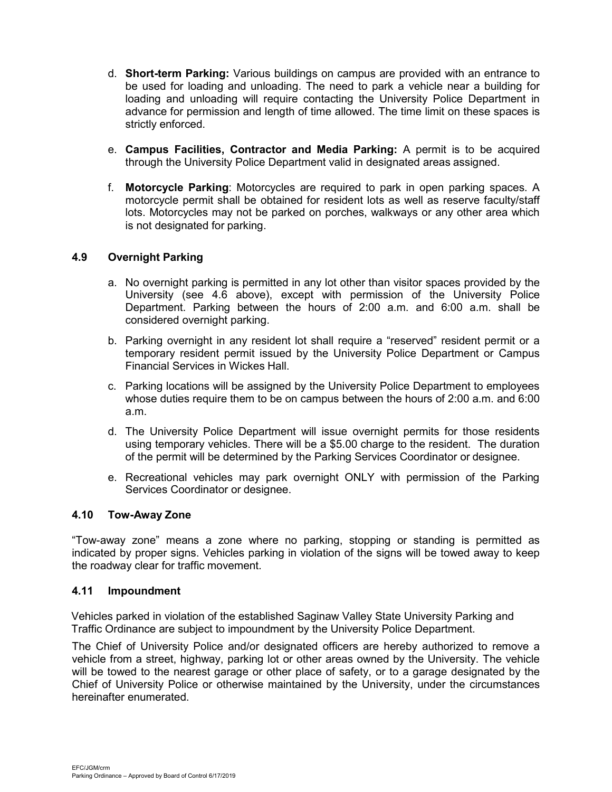- d. **Short-term Parking:** Various buildings on campus are provided with an entrance to be used for loading and unloading. The need to park a vehicle near a building for loading and unloading will require contacting the University Police Department in advance for permission and length of time allowed. The time limit on these spaces is strictly enforced.
- e. **Campus Facilities, Contractor and Media Parking:** A permit is to be acquired through the University Police Department valid in designated areas assigned.
- f. **Motorcycle Parking**: Motorcycles are required to park in open parking spaces. A motorcycle permit shall be obtained for resident lots as well as reserve faculty/staff lots. Motorcycles may not be parked on porches, walkways or any other area which is not designated for parking.

# **4.9 Overnight Parking**

- a. No overnight parking is permitted in any lot other than visitor spaces provided by the University (see 4.6 above), except with permission of the University Police Department. Parking between the hours of 2:00 a.m. and 6:00 a.m. shall be considered overnight parking.
- b. Parking overnight in any resident lot shall require a "reserved" resident permit or a temporary resident permit issued by the University Police Department or Campus Financial Services in Wickes Hall.
- c. Parking locations will be assigned by the University Police Department to employees whose duties require them to be on campus between the hours of 2:00 a.m. and 6:00 a.m.
- d. The University Police Department will issue overnight permits for those residents using temporary vehicles. There will be a \$5.00 charge to the resident. The duration of the permit will be determined by the Parking Services Coordinator or designee.
- e. Recreational vehicles may park overnight ONLY with permission of the Parking Services Coordinator or designee.

# **4.10 Tow-Away Zone**

"Tow-away zone" means a zone where no parking, stopping or standing is permitted as indicated by proper signs. Vehicles parking in violation of the signs will be towed away to keep the roadway clear for traffic movement.

## **4.11 Impoundment**

Vehicles parked in violation of the established Saginaw Valley State University Parking and Traffic Ordinance are subject to impoundment by the University Police Department.

The Chief of University Police and/or designated officers are hereby authorized to remove a vehicle from a street, highway, parking lot or other areas owned by the University. The vehicle will be towed to the nearest garage or other place of safety, or to a garage designated by the Chief of University Police or otherwise maintained by the University, under the circumstances hereinafter enumerated.